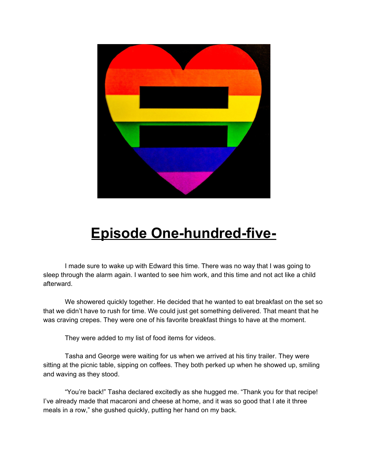

## **Episode One-hundred-five-**

I made sure to wake up with Edward this time. There was no way that I was going to sleep through the alarm again. I wanted to see him work, and this time and not act like a child afterward.

We showered quickly together. He decided that he wanted to eat breakfast on the set so that we didn't have to rush for time. We could just get something delivered. That meant that he was craving crepes. They were one of his favorite breakfast things to have at the moment.

They were added to my list of food items for videos.

Tasha and George were waiting for us when we arrived at his tiny trailer. They were sitting at the picnic table, sipping on coffees. They both perked up when he showed up, smiling and waving as they stood.

"You're back!" Tasha declared excitedly as she hugged me. "Thank you for that recipe! I've already made that macaroni and cheese at home, and it was so good that I ate it three meals in a row," she gushed quickly, putting her hand on my back.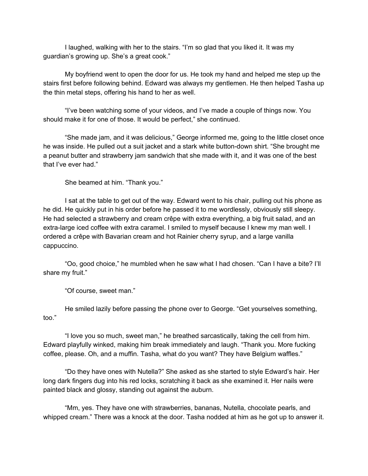I laughed, walking with her to the stairs. "I'm so glad that you liked it. It was my guardian's growing up. She's a great cook."

My boyfriend went to open the door for us. He took my hand and helped me step up the stairs first before following behind. Edward was always my gentlemen. He then helped Tasha up the thin metal steps, offering his hand to her as well.

"I've been watching some of your videos, and I've made a couple of things now. You should make it for one of those. It would be perfect," she continued.

"She made jam, and it was delicious," George informed me, going to the little closet once he was inside. He pulled out a suit jacket and a stark white button-down shirt. "She brought me a peanut butter and strawberry jam sandwich that she made with it, and it was one of the best that I've ever had."

She beamed at him. "Thank you."

I sat at the table to get out of the way. Edward went to his chair, pulling out his phone as he did. He quickly put in his order before he passed it to me wordlessly, obviously still sleepy. He had selected a strawberry and cream crêpe with extra everything, a big fruit salad, and an extra-large iced coffee with extra caramel. I smiled to myself because I knew my man well. I ordered a crêpe with Bavarian cream and hot Rainier cherry syrup, and a large vanilla cappuccino.

"Oo, good choice," he mumbled when he saw what I had chosen. "Can I have a bite? I'll share my fruit."

"Of course, sweet man."

He smiled lazily before passing the phone over to George. "Get yourselves something, too."

"I love you so much, sweet man," he breathed sarcastically, taking the cell from him. Edward playfully winked, making him break immediately and laugh. "Thank you. More fucking coffee, please. Oh, and a muffin. Tasha, what do you want? They have Belgium waffles."

"Do they have ones with Nutella?" She asked as she started to style Edward's hair. Her long dark fingers dug into his red locks, scratching it back as she examined it. Her nails were painted black and glossy, standing out against the auburn.

"Mm, yes. They have one with strawberries, bananas, Nutella, chocolate pearls, and whipped cream." There was a knock at the door. Tasha nodded at him as he got up to answer it.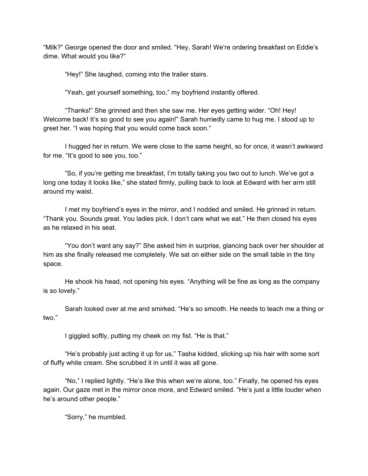"Milk?" George opened the door and smiled. "Hey, Sarah! We're ordering breakfast on Eddie's dime. What would you like?"

"Hey!" She laughed, coming into the trailer stairs.

"Yeah, get yourself something, too," my boyfriend instantly offered.

"Thanks!" She grinned and then she saw me. Her eyes getting wider. "Oh! Hey! Welcome back! It's so good to see you again!" Sarah hurriedly came to hug me. I stood up to greet her. "I was hoping that you would come back soon."

I hugged her in return. We were close to the same height, so for once, it wasn't awkward for me. "It's good to see you, too."

"So, if you're getting me breakfast, I'm totally taking you two out to lunch. We've got a long one today it looks like," she stated firmly, pulling back to look at Edward with her arm still around my waist.

I met my boyfriend's eyes in the mirror, and I nodded and smiled. He grinned in return. "Thank you. Sounds great. You ladies pick. I don't care what we eat." He then closed his eyes as he relaxed in his seat.

"You don't want any say?" She asked him in surprise, glancing back over her shoulder at him as she finally released me completely. We sat on either side on the small table in the tiny space.

He shook his head, not opening his eyes. "Anything will be fine as long as the company is so lovely."

Sarah looked over at me and smirked. "He's so smooth. He needs to teach me a thing or two."

I giggled softly, putting my cheek on my fist. "He is that."

"He's probably just acting it up for us," Tasha kidded, slicking up his hair with some sort of fluffy white cream. She scrubbed it in until it was all gone.

"No," I replied lightly. "He's like this when we're alone, too." Finally, he opened his eyes again. Our gaze met in the mirror once more, and Edward smiled. "He's just a little louder when he's around other people."

"Sorry," he mumbled.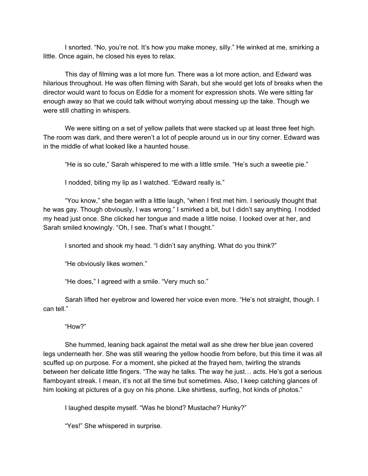I snorted. "No, you're not. It's how you make money, silly." He winked at me, smirking a little. Once again, he closed his eyes to relax.

This day of filming was a lot more fun. There was a lot more action, and Edward was hilarious throughout. He was often filming with Sarah, but she would get lots of breaks when the director would want to focus on Eddie for a moment for expression shots. We were sitting far enough away so that we could talk without worrying about messing up the take. Though we were still chatting in whispers.

We were sitting on a set of yellow pallets that were stacked up at least three feet high. The room was dark, and there weren't a lot of people around us in our tiny corner. Edward was in the middle of what looked like a haunted house.

"He is so cute," Sarah whispered to me with a little smile. "He's such a sweetie pie."

I nodded, biting my lip as I watched. "Edward really is."

"You know," she began with a little laugh, "when I first met him. I seriously thought that he was gay. Though obviously, I was wrong." I smirked a bit, but I didn't say anything. I nodded my head just once. She clicked her tongue and made a little noise. I looked over at her, and Sarah smiled knowingly. "Oh, I see. That's what I thought."

I snorted and shook my head. "I didn't say anything. What do you think?"

"He obviously likes women."

"He does," I agreed with a smile. "Very much so."

Sarah lifted her eyebrow and lowered her voice even more. "He's not straight, though. I can tell."

"How?"

She hummed, leaning back against the metal wall as she drew her blue jean covered legs underneath her. She was still wearing the yellow hoodie from before, but this time it was all scuffed up on purpose. For a moment, she picked at the frayed hem, twirling the strands between her delicate little fingers. "The way he talks. The way he just… acts. He's got a serious flamboyant streak. I mean, it's not all the time but sometimes. Also, I keep catching glances of him looking at pictures of a guy on his phone. Like shirtless, surfing, hot kinds of photos."

I laughed despite myself. "Was he blond? Mustache? Hunky?"

"Yes!" She whispered in surprise.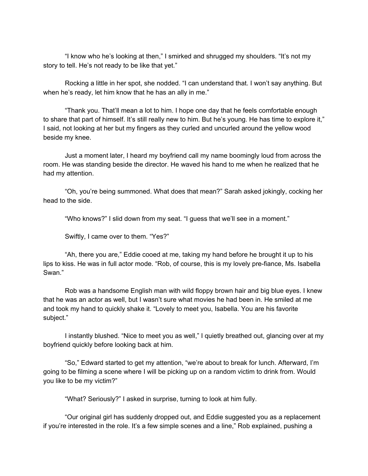"I know who he's looking at then," I smirked and shrugged my shoulders. "It's not my story to tell. He's not ready to be like that yet."

Rocking a little in her spot, she nodded. "I can understand that. I won't say anything. But when he's ready, let him know that he has an ally in me."

"Thank you. That'll mean a lot to him. I hope one day that he feels comfortable enough to share that part of himself. It's still really new to him. But he's young. He has time to explore it," I said, not looking at her but my fingers as they curled and uncurled around the yellow wood beside my knee.

Just a moment later, I heard my boyfriend call my name boomingly loud from across the room. He was standing beside the director. He waved his hand to me when he realized that he had my attention.

"Oh, you're being summoned. What does that mean?" Sarah asked jokingly, cocking her head to the side.

"Who knows?" I slid down from my seat. "I guess that we'll see in a moment."

Swiftly, I came over to them. "Yes?"

"Ah, there you are," Eddie cooed at me, taking my hand before he brought it up to his lips to kiss. He was in full actor mode. "Rob, of course, this is my lovely pre-fiance, Ms. Isabella Swan."

Rob was a handsome English man with wild floppy brown hair and big blue eyes. I knew that he was an actor as well, but I wasn't sure what movies he had been in. He smiled at me and took my hand to quickly shake it. "Lovely to meet you, Isabella. You are his favorite subject."

I instantly blushed. "Nice to meet you as well," I quietly breathed out, glancing over at my boyfriend quickly before looking back at him.

"So," Edward started to get my attention, "we're about to break for lunch. Afterward, I'm going to be filming a scene where I will be picking up on a random victim to drink from. Would you like to be my victim?"

"What? Seriously?" I asked in surprise, turning to look at him fully.

"Our original girl has suddenly dropped out, and Eddie suggested you as a replacement if you're interested in the role. It's a few simple scenes and a line," Rob explained, pushing a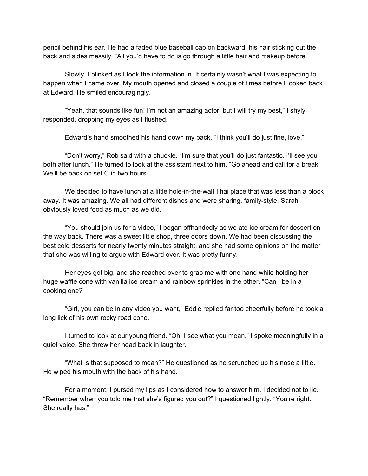pencil behind his ear. He had a faded blue baseball cap on backward, his hair sticking out the back and sides messily. "All you'd have to do is go through a little hair and makeup before."

Slowly, I blinked as I took the information in. It certainly wasn't what I was expecting to happen when I came over. My mouth opened and closed a couple of times before I looked back at Edward. He smiled encouragingly.

"Yeah, that sounds like fun! I'm not an amazing actor, but I will try my best," I shyly responded, dropping my eyes as I flushed.

Edward's hand smoothed his hand down my back. "I think you'll do just fine, love."

"Don't worry," Rob said with a chuckle. "I'm sure that you'll do just fantastic. I'll see you both after lunch." He turned to look at the assistant next to him. "Go ahead and call for a break. We'll be back on set C in two hours."

We decided to have lunch at a little hole-in-the-wall Thai place that was less than a block away. It was amazing. We all had different dishes and were sharing, family-style. Sarah obviously loved food as much as we did.

"You should join us for a video," I began offhandedly as we ate ice cream for dessert on the way back. There was a sweet little shop, three doors down. We had been discussing the best cold desserts for nearly twenty minutes straight, and she had some opinions on the matter that she was willing to argue with Edward over. It was pretty funny.

Her eyes got big, and she reached over to grab me with one hand while holding her huge waffle cone with vanilla ice cream and rainbow sprinkles in the other. "Can I be in a cooking one?"

"Girl, you can be in any video you want," Eddie replied far too cheerfully before he took a long lick of his own rocky road cone.

I turned to look at our young friend. "Oh, I see what you mean," I spoke meaningfully in a quiet voice. She threw her head back in laughter.

"What is that supposed to mean?" He questioned as he scrunched up his nose a little. He wiped his mouth with the back of his hand.

For a moment, I pursed my lips as I considered how to answer him. I decided not to lie. "Remember when you told me that she's figured you out?" I questioned lightly. "You're right. She really has."